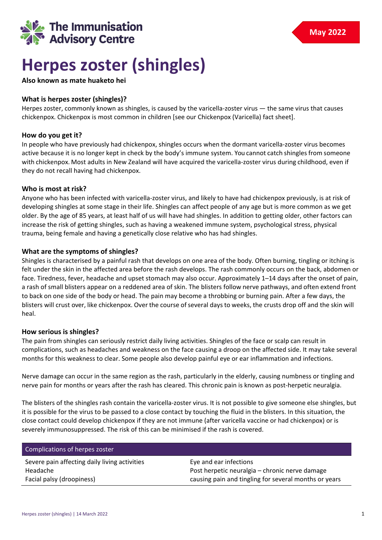

# **Herpes zoster (shingles)**

## **Also known as mate huaketo hei**

## **What is herpes zoster (shingles)?**

Herpes zoster, commonly known as shingles, is caused by the varicella-zoster virus — the same virus that causes chickenpox. Chickenpox is most common in children [see our Chickenpox (Varicella) fact sheet].

## **How do you get it?**

In people who have previously had chickenpox, shingles occurs when the dormant varicella-zoster virus becomes active because it is no longer kept in check by the body's immune system. You cannot catch shingles from someone with chickenpox. Most adults in New Zealand will have acquired the varicella-zoster virus during childhood, even if they do not recall having had chickenpox.

## **Who is most at risk?**

Anyone who has been infected with varicella-zoster virus, and likely to have had chickenpox previously, is at risk of developing shingles at some stage in their life. Shingles can affect people of any age but is more common as we get older. By the age of 85 years, at least half of us will have had shingles. In addition to getting older, other factors can increase the risk of getting shingles, such as having a weakened immune system, psychological stress, physical trauma, being female and having a genetically close relative who has had shingles.

## **What are the symptoms of shingles?**

Shingles is characterised by a painful rash that develops on one area of the body. Often burning, tingling or itching is felt under the skin in the affected area before the rash develops. The rash commonly occurs on the back, abdomen or face. Tiredness, fever, headache and upset stomach may also occur. Approximately 1–14 days after the onset of pain, a rash of small blisters appear on a reddened area of skin. The blisters follow nerve pathways, and often extend front to back on one side of the body or head. The pain may become a throbbing or burning pain. After a few days, the blisters will crust over, like chickenpox. Over the course of several days to weeks, the crusts drop off and the skin will heal.

## **How serious is shingles?**

The pain from shingles can seriously restrict daily living activities. Shingles of the face or scalp can result in complications, such as headaches and weakness on the face causing a droop on the affected side. It may take several months for this weakness to clear. Some people also develop painful eye or ear inflammation and infections.

Nerve damage can occur in the same region as the rash, particularly in the elderly, causing numbness or tingling and nerve pain for months or years after the rash has cleared. This chronic pain is known as post-herpetic neuralgia.

The blisters of the shingles rash contain the varicella-zoster virus. It is not possible to give someone else shingles, but it is possible for the virus to be passed to a close contact by touching the fluid in the blisters. In this situation, the close contact could develop chickenpox if they are not immune (after varicella vaccine or had chickenpox) or is severely immunosuppressed. The risk of this can be minimised if the rash is covered.

| Complications of herpes zoster                |                                                       |
|-----------------------------------------------|-------------------------------------------------------|
| Severe pain affecting daily living activities | Eye and ear infections                                |
| Headache                                      | Post herpetic neuralgia – chronic nerve damage        |
| Facial palsy (droopiness)                     | causing pain and tingling for several months or years |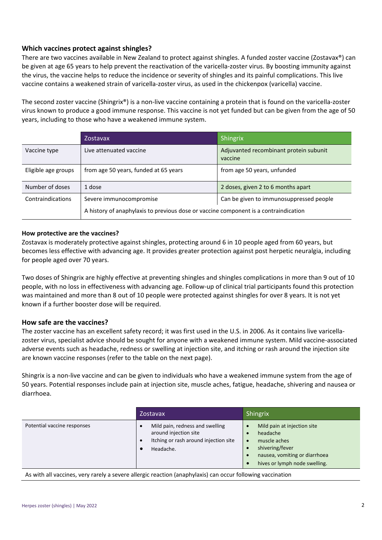## **Which vaccines protect against shingles?**

There are two vaccines available in New Zealand to protect against shingles. A funded zoster vaccine (Zostavax®) can be given at age 65 years to help prevent the reactivation of the varicella-zoster virus. By boosting immunity against the virus, the vaccine helps to reduce the incidence or severity of shingles and its painful complications. This live vaccine contains a weakened strain of varicella-zoster virus, as used in the chickenpox (varicella) vaccine.

The second zoster vaccine (Shingrix®) is a non-live vaccine containing a protein that is found on the varicella-zoster virus known to produce a good immune response. This vaccine is not yet funded but can be given from the age of 50 years, including to those who have a weakened immune system.

|                     | Zostavax                                                                             | Shingrix                                          |
|---------------------|--------------------------------------------------------------------------------------|---------------------------------------------------|
| Vaccine type        | Live attenuated vaccine                                                              | Adjuvanted recombinant protein subunit<br>vaccine |
| Eligible age groups | from age 50 years, funded at 65 years                                                | from age 50 years, unfunded                       |
| Number of doses     | 1 dose                                                                               | 2 doses, given 2 to 6 months apart                |
| Contraindications   | Severe immunocompromise                                                              | Can be given to immunosuppressed people           |
|                     | A history of anaphylaxis to previous dose or vaccine component is a contraindication |                                                   |

## **How protective are the vaccines?**

Zostavax is moderately protective against shingles, protecting around 6 in 10 people aged from 60 years, but becomes less effective with advancing age. It provides greater protection against post herpetic neuralgia, including for people aged over 70 years.

Two doses of Shingrix are highly effective at preventing shingles and shingles complications in more than 9 out of 10 people, with no loss in effectiveness with advancing age. Follow-up of clinical trial participants found this protection was maintained and more than 8 out of 10 people were protected against shingles for over 8 years. It is not yet known if a further booster dose will be required.

## **How safe are the vaccines?**

The zoster vaccine has an excellent safety record; it was first used in the U.S. in 2006. As it contains live varicellazoster virus, specialist advice should be sought for anyone with a weakened immune system. Mild vaccine-associated adverse events such as headache, redness or swelling at injection site, and itching or rash around the injection site are known vaccine responses (refer to the table on the next page).

Shingrix is a non-live vaccine and can be given to individuals who have a weakened immune system from the age of 50 years. Potential responses include pain at injection site, muscle aches, fatigue, headache, shivering and nausea or diarrhoea.

|                             | Zostavax                                                                                                            | Shingrix                                                                                                                                                  |
|-----------------------------|---------------------------------------------------------------------------------------------------------------------|-----------------------------------------------------------------------------------------------------------------------------------------------------------|
| Potential vaccine responses | Mild pain, redness and swelling<br>around injection site<br>Itching or rash around injection site<br>٠<br>Headache. | Mild pain at injection site<br>headache<br>muscle aches<br>$\bullet$<br>shivering/fever<br>nausea, vomiting or diarrhoea<br>hives or lymph node swelling. |

As with all vaccines, very rarely a severe allergic reaction (anaphylaxis) can occur following vaccination